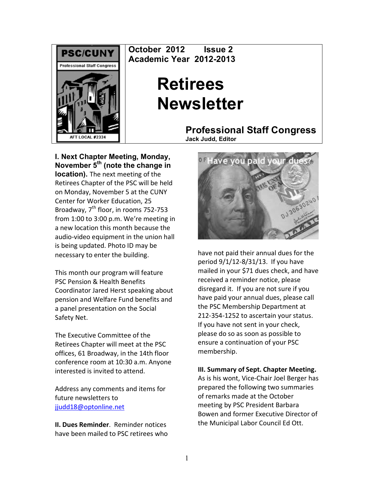

**October 2012 Issue 2 Academic Year 2012-2013**

# **Retirees Newsletter**

**Professional Staff Congress Jack Judd, Editor**

**I. Next Chapter Meeting, Monday, November 5th (note the change in location).** The next meeting of the Retirees Chapter of the PSC will be held on Monday, November 5 at the CUNY Center for Worker Education, 25 Broadway, 7<sup>th</sup> floor, in rooms 752-753 from  $1:00$  to  $3:00$  p.m. We're meeting in a new location this month because the audio-video equipment in the union hall is being updated. Photo ID may be necessary to enter the building.

This month our program will feature PSC Pension & Health Benefits Coordinator Jared Herst speaking about pension and Welfare Fund benefits and a panel presentation on the Social Safety Net.

The Executive Committee of the Retirees Chapter will meet at the PSC offices, 61 Broadway, in the 14th floor conference room at 10:30 a.m. Anyone interested is invited to attend.

Address any comments and items for future newsletters to jjudd18@optonline.net

**II. Dues Reminder.** Reminder notices have been mailed to PSC retirees who



have not paid their annual dues for the period 9/1/12-8/31/13. If you have mailed in your \$71 dues check, and have received a reminder notice, please disregard it. If you are not sure if you have paid your annual dues, please call the PSC Membership Department at 212-354-1252 to ascertain your status. If you have not sent in your check, please do so as soon as possible to ensure a continuation of your PSC membership.

# **III. Summary of Sept. Chapter Meeting.**

As is his wont, Vice-Chair Joel Berger has prepared the following two summaries of remarks made at the October meeting by PSC President Barbara Bowen and former Executive Director of the Municipal Labor Council Ed Ott.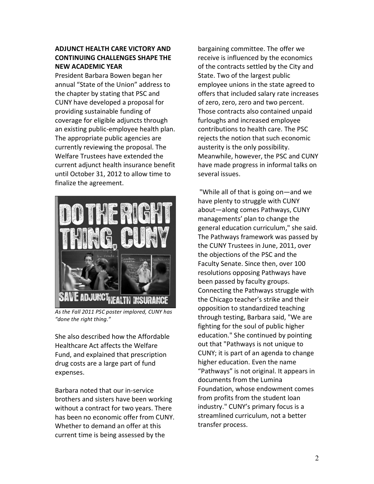# **ADJUNCT'HEALTH'CARE'VICTORY'AND' CONTINUING'CHALLENGES'SHAPE'THE' NEW'ACADEMIC'YEAR**

President Barbara Bowen began her annual "State of the Union" address to the chapter by stating that PSC and CUNY have developed a proposal for providing sustainable funding of coverage for eligible adjuncts through an existing public-employee health plan. The appropriate public agencies are currently reviewing the proposal. The Welfare Trustees have extended the current adjunct health insurance benefit until October 31, 2012 to allow time to finalize the agreement.



As the Fall 2011 PSC poster implored, CUNY has "done the right thing."

She also described how the Affordable Healthcare Act affects the Welfare Fund, and explained that prescription drug costs are a large part of fund expenses.

Barbara noted that our in-service brothers and sisters have been working without a contract for two years. There has been no economic offer from CUNY. Whether to demand an offer at this current time is being assessed by the

bargaining committee. The offer we receive is influenced by the economics of the contracts settled by the City and State. Two of the largest public employee unions in the state agreed to offers that included salary rate increases of zero, zero, zero and two percent. Those contracts also contained unpaid furloughs and increased employee contributions to health care. The PSC rejects the notion that such economic austerity is the only possibility. Meanwhile, however, the PSC and CUNY have made progress in informal talks on several issues.

"While all of that is going on—and we have plenty to struggle with CUNY about—along comes Pathways, CUNY managements' plan to change the general education curriculum," she said. The Pathways framework was passed by the CUNY Trustees in June, 2011, over the objections of the PSC and the Faculty Senate. Since then, over 100 resolutions opposing Pathways have been passed by faculty groups. Connecting the Pathways struggle with the Chicago teacher's strike and their opposition to standardized teaching through testing, Barbara said, "We are fighting for the soul of public higher education." She continued by pointing out that "Pathways is not unique to CUNY; it is part of an agenda to change higher education. Even the name "Pathways" is not original. It appears in documents from the Lumina Foundation, whose endowment comes from profits from the student loan industry." CUNY's primary focus is a streamlined curriculum, not a better transfer process.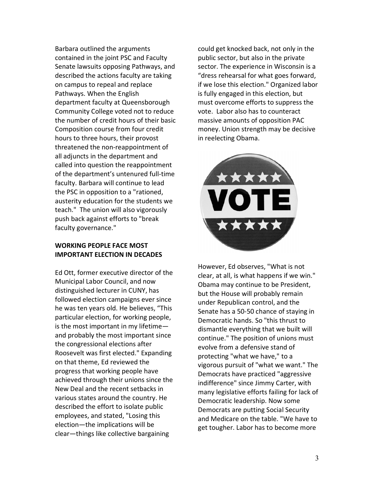Barbara outlined the arguments contained in the joint PSC and Faculty Senate lawsuits opposing Pathways, and described the actions faculty are taking on campus to repeal and replace Pathways. When the English department faculty at Queensborough Community College voted not to reduce the number of credit hours of their basic Composition course from four credit hours to three hours, their provost threatened the non-reappointment of all adjuncts in the department and called into question the reappointment of the department's untenured full-time faculty. Barbara will continue to lead the PSC in opposition to a "rationed, austerity education for the students we teach." The union will also vigorously push back against efforts to "break faculty governance."

# **WORKING PEOPLE FACE MOST IMPORTANT ELECTION IN DECADES**

Ed Ott, former executive director of the Municipal Labor Council, and now distinguished lecturer in CUNY, has followed election campaigns ever since he was ten years old. He believes, "This particular election, for working people, is the most important in my lifetime $$ and probably the most important since the congressional elections after Roosevelt was first elected." Expanding on that theme, Ed reviewed the progress that working people have achieved through their unions since the New Deal and the recent setbacks in various states around the country. He described the effort to isolate public employees, and stated, "Losing this election—the implications will be clear—things like collective bargaining

could get knocked back, not only in the public sector, but also in the private sector. The experience in Wisconsin is a "dress rehearsal for what goes forward, if we lose this election." Organized labor is fully engaged in this election, but must overcome efforts to suppress the vote. Labor also has to counteract massive amounts of opposition PAC money. Union strength may be decisive in reelecting Obama.



However, Ed observes, "What is not clear, at all, is what happens if we win." Obama may continue to be President, but the House will probably remain under Republican control, and the Senate has a 50-50 chance of staying in Democratic hands. So "this thrust to dismantle everything that we built will continue." The position of unions must evolve from a defensive stand of protecting "what we have," to a vigorous pursuit of "what we want." The Democrats have practiced "aggressive indifference" since Jimmy Carter, with many legislative efforts failing for lack of Democratic leadership. Now some Democrats are putting Social Security and Medicare on the table. "We have to get tougher. Labor has to become more